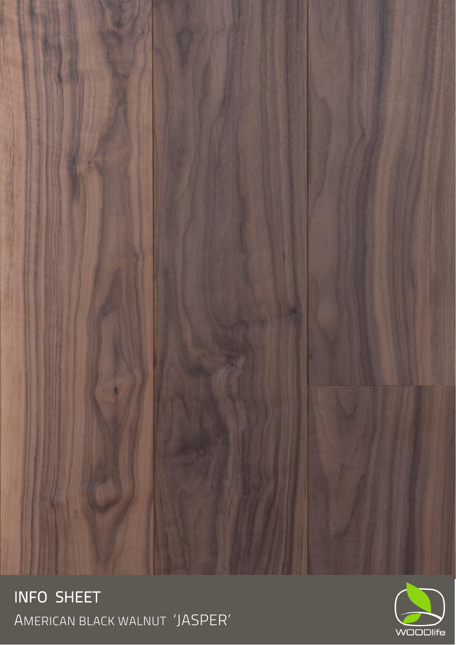

**INFO SHEET**<br>American black walnut *'*JASPER'

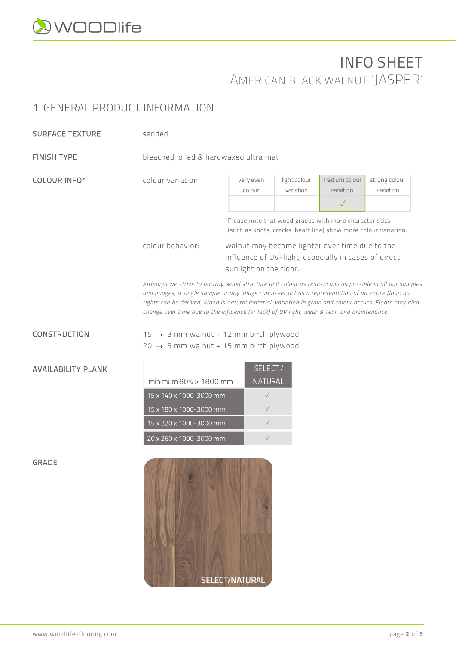

## INFO SHEET AMERICAN BLACK WALNUT 'JASPER'

## 1 GENERAL PRODUCT INFORMATION

| <b>SURFACE TEXTURE</b> | sanded                                                                                                                                               |                                                                                                                                                                                                 |                                                                                                                                                                                                                   |                                            |                            |
|------------------------|------------------------------------------------------------------------------------------------------------------------------------------------------|-------------------------------------------------------------------------------------------------------------------------------------------------------------------------------------------------|-------------------------------------------------------------------------------------------------------------------------------------------------------------------------------------------------------------------|--------------------------------------------|----------------------------|
| <b>FINISH TYPE</b>     | bleached, oiled & hardwaxed ultra mat                                                                                                                |                                                                                                                                                                                                 |                                                                                                                                                                                                                   |                                            |                            |
| COLOUR INFO*           | colour variation:                                                                                                                                    | very even<br>colour                                                                                                                                                                             | light colour<br>variation                                                                                                                                                                                         | medium colour<br>variation<br>$\checkmark$ | strong colour<br>variation |
|                        | Please note that wood grades with more characteristics<br>(such as knots, cracks, heart line) show more colour variation.                            |                                                                                                                                                                                                 |                                                                                                                                                                                                                   |                                            |                            |
|                        | colour behavior:<br>walnut may become lighter over time due to the<br>influence of UV-light, especially in cases of direct<br>sunlight on the floor. |                                                                                                                                                                                                 |                                                                                                                                                                                                                   |                                            |                            |
|                        |                                                                                                                                                      | and images, a single sample or any image can never act as a representation of an entire floor: no<br>change over time due to the influence (or lack) of UV light, wear & tear, and maintenance. | Although we strive to portray wood structure and colour as realistically as possible in all our samples<br>rights can be derived. Wood is natural material: variation in grain and colour occurs. Floors may also |                                            |                            |
| CONSTRUCTION           | $15 \rightarrow 3$ mm walnut + 12 mm birch plywood<br>20 $\rightarrow$ 5 mm walnut + 15 mm birch plywood                                             |                                                                                                                                                                                                 |                                                                                                                                                                                                                   |                                            |                            |

|                          | <b>SELECT</b> |
|--------------------------|---------------|
| minimum $80\%$ > 1800 mm | NATURAL       |
| 15 x 140 x 1000-3000 mm  |               |
| 15 x 180 x 1000-3000 mm  |               |
| 15 x 220 x 1000-3000 mm  |               |
| 20 x 260 x 1000-3000 mm  |               |



GRADE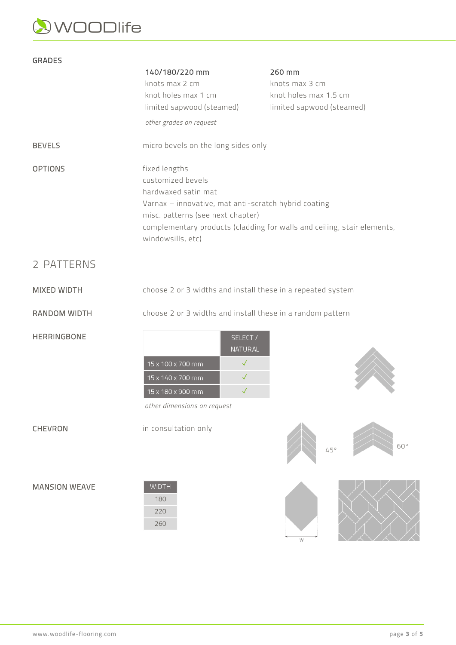## WOODlife

#### GRADES 140/180/220 mm 260 mm knots max 3 cm knots max 2 cm knot holes max 1 cm knot holes max 1.5 cm limited sapwood (steamed) limited sapwood (steamed) *other grades on request* BEVELS micro bevels on the long sides only OPTIONS fixed lengths customized bevels hardwaxed satin mat Varnax – innovative, mat anti-scratch hybrid coating misc. patterns (see next chapter) complementary products (cladding for walls and ceiling, stair elements, windowsills, etc) 2 PATTERNS MIXED WIDTH choose 2 or 3 widths and install these in a repeated system RANDOM WIDTH choose 2 or 3 widths and install these in a random pattern HERRINGBONE SELECT / NATURAL 15 x 100 x 700 mm  $\checkmark$ 15 x 140 x 700 mm  $\checkmark$ 15 x 180 x 900 mm  $\checkmark$ *other dimensions on request* CHEVRON in consultation only  $60<sup>c</sup>$ 45°

#### MANSION WEAVE

| WIDTH |
|-------|
| 180   |
| 220   |
| 260   |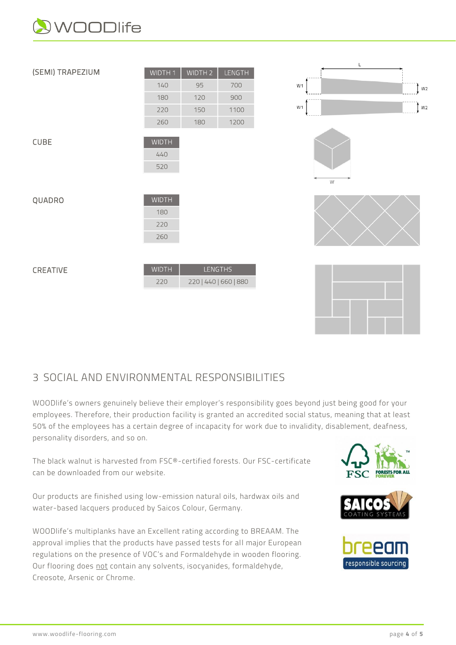



### 3 SOCIAL AND ENVIRONMENTAL RESPONSIBILITIES

WOODlife's owners genuinely believe their employer's responsibility goes beyond just being good for your employees. Therefore, their production facility is granted an accredited social status, meaning that at least 50% of the employees has a certain degree of incapacity for work due to invalidity, disablement, deafness, personality disorders, and so on.

The black walnut is harvested from FSC®-certified forests. Our FSC-certificate can be downloaded from our website.

Our products are finished using low-emission natural oils, hardwax oils and water-based lacquers produced by Saicos Colour, Germany.

WOODlife's multiplanks have an Excellent rating according to BREAAM. The approval implies that the products have passed tests for all major European regulations on the presence of VOC's and Formaldehyde in wooden flooring. Our flooring does not contain any solvents, isocyanides, formaldehyde, Creosote, Arsenic or Chrome.